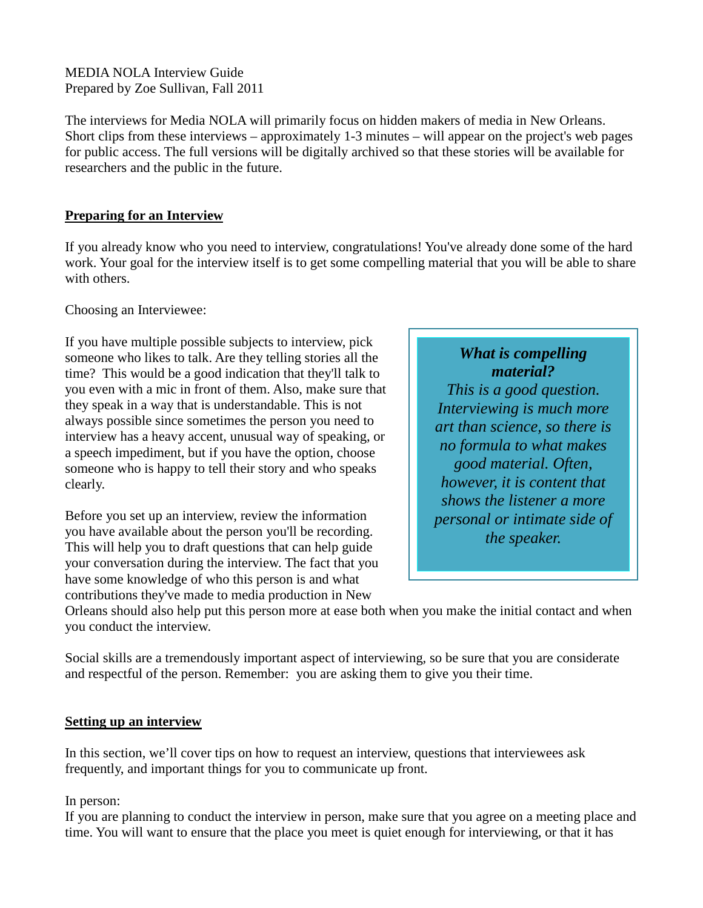MEDIA NOLA Interview Guide Prepared by Zoe Sullivan, Fall 2011

The interviews for Media NOLA will primarily focus on hidden makers of media in New Orleans. Short clips from these interviews – approximately 1-3 minutes – will appear on the project's web pages for public access. The full versions will be digitally archived so that these stories will be available for researchers and the public in the future.

# **Preparing for an Interview**

If you already know who you need to interview, congratulations! You've already done some of the hard work. Your goal for the interview itself is to get some compelling material that you will be able to share with others.

Choosing an Interviewee:

If you have multiple possible subjects to interview, pick someone who likes to talk. Are they telling stories all the time? This would be a good indication that they'll talk to you even with a mic in front of them. Also, make sure that they speak in a way that is understandable. This is not always possible since sometimes the person you need to interview has a heavy accent, unusual way of speaking, or a speech impediment, but if you have the option, choose someone who is happy to tell their story and who speaks clearly.

Before you set up an interview, review the information you have available about the person you'll be recording. This will help you to draft questions that can help guide your conversation during the interview. The fact that you have some knowledge of who this person is and what contributions they've made to media production in New

*What is compelling material? This is a good question. Interviewing is much more art than science, so there is no formula to what makes good material. Often, however, it is content that shows the listener a more personal or intimate side of the speaker.*

Orleans should also help put this person more at ease both when you make the initial contact and when you conduct the interview.

Social skills are a tremendously important aspect of interviewing, so be sure that you are considerate and respectful of the person. Remember: you are asking them to give you their time.

# **Setting up an interview**

In this section, we'll cover tips on how to request an interview, questions that interviewees ask frequently, and important things for you to communicate up front.

# In person:

If you are planning to conduct the interview in person, make sure that you agree on a meeting place and time. You will want to ensure that the place you meet is quiet enough for interviewing, or that it has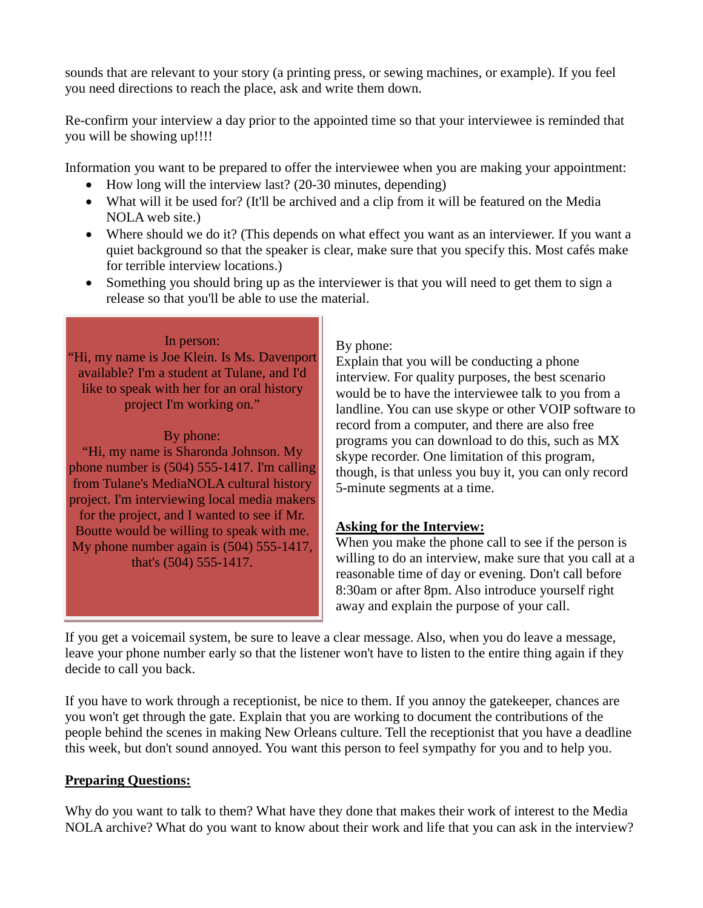sounds that are relevant to your story (a printing press, or sewing machines, or example). If you feel you need directions to reach the place, ask and write them down.

Re-confirm your interview a day prior to the appointed time so that your interviewee is reminded that you will be showing up!!!!

Information you want to be prepared to offer the interviewee when you are making your appointment:

- How long will the interview last? (20-30 minutes, depending)
- What will it be used for? (It'll be archived and a clip from it will be featured on the Media NOLA web site.)
- Where should we do it? (This depends on what effect you want as an interviewer. If you want a quiet background so that the speaker is clear, make sure that you specify this. Most cafés make for terrible interview locations.)
- Something you should bring up as the interviewer is that you will need to get them to sign a release so that you'll be able to use the material.

### In person:

"Hi, my name is Joe Klein. Is Ms. Davenport available? I'm a student at Tulane, and I'd like to speak with her for an oral history project I'm working on."

# By phone:

"Hi, my name is Sharonda Johnson. My phone number is (504) 555-1417. I'm calling from Tulane's MediaNOLA cultural history project. I'm interviewing local media makers for the project, and I wanted to see if Mr. Boutte would be willing to speak with me. My phone number again is (504) 555-1417, that's (504) 555-1417.

### By phone:

Explain that you will be conducting a phone interview. For quality purposes, the best scenario would be to have the interviewee talk to you from a landline. You can use skype or other VOIP software to record from a computer, and there are also free programs you can download to do this, such as MX skype recorder. One limitation of this program, though, is that unless you buy it, you can only record 5-minute segments at a time.

# **Asking for the Interview:**

When you make the phone call to see if the person is willing to do an interview, make sure that you call at a reasonable time of day or evening. Don't call before 8:30am or after 8pm. Also introduce yourself right away and explain the purpose of your call.

If you get a voicemail system, be sure to leave a clear message. Also, when you do leave a message, leave your phone number early so that the listener won't have to listen to the entire thing again if they decide to call you back.

If you have to work through a receptionist, be nice to them. If you annoy the gatekeeper, chances are you won't get through the gate. Explain that you are working to document the contributions of the people behind the scenes in making New Orleans culture. Tell the receptionist that you have a deadline this week, but don't sound annoyed. You want this person to feel sympathy for you and to help you.

# **Preparing Questions:**

Why do you want to talk to them? What have they done that makes their work of interest to the Media NOLA archive? What do you want to know about their work and life that you can ask in the interview?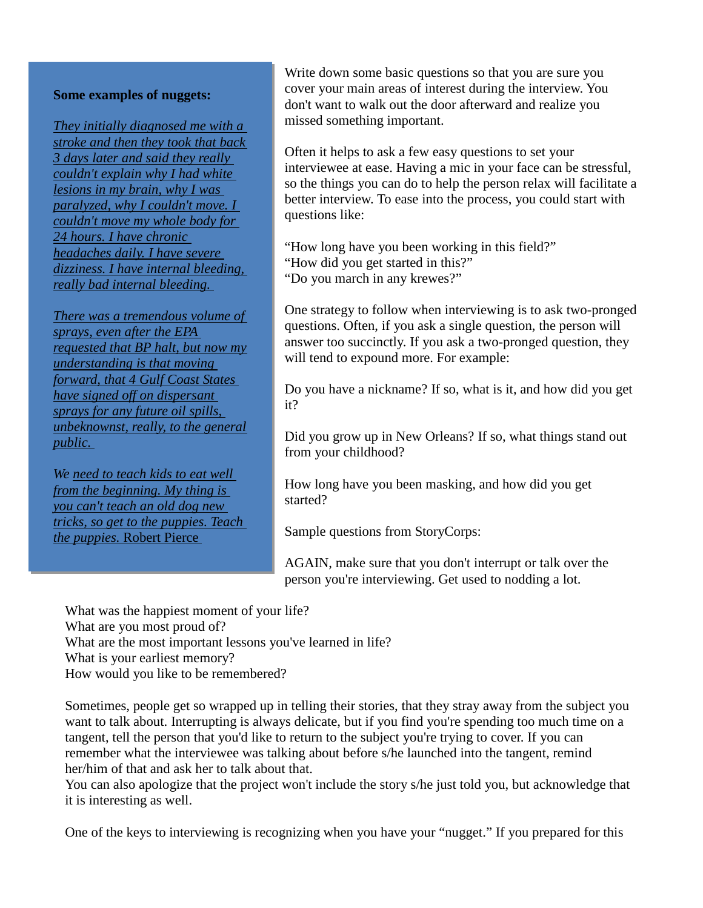#### **Some examples of nuggets:**

*They initially diagnosed me with a stroke and then they took that back 3 days later and said they really couldn't explain why I had white lesions in my brain, why I was paralyzed, why I couldn't move. I couldn't move my whole body for 24 hours. I have chronic headaches daily. I have severe dizziness. I have internal bleeding, really bad internal bleeding.* 

*There was a tremendous volume of sprays, even after the EPA requested that BP halt, but now my understanding is that moving forward, that 4 Gulf Coast States have signed off on dispersant sprays for any future oil spills, unbeknownst, really, to the general public.* 

*We need to teach kids to eat well from the beginning. My thing is you can't teach an old dog new tricks, so get to the puppies. Teach the puppies.* Robert Pierce

Write down some basic questions so that you are sure you cover your main areas of interest during the interview. You don't want to walk out the door afterward and realize you missed something important.

Often it helps to ask a few easy questions to set your interviewee at ease. Having a mic in your face can be stressful, so the things you can do to help the person relax will facilitate a better interview. To ease into the process, you could start with questions like:

"How long have you been working in this field?"

- "How did you get started in this?"
- "Do you march in any krewes?"

One strategy to follow when interviewing is to ask two-pronged questions. Often, if you ask a single question, the person will answer too succinctly. If you ask a two-pronged question, they will tend to expound more. For example:

Do you have a nickname? If so, what is it, and how did you get it?

Did you grow up in New Orleans? If so, what things stand out from your childhood?

How long have you been masking, and how did you get started?

Sample questions from StoryCorps:

AGAIN, make sure that you don't interrupt or talk over the person you're interviewing. Get used to nodding a lot.

What was the happiest moment of your life? What are you most proud of? What are the most important lessons you've learned in life? What is your earliest memory? How would you like to be remembered?

Sometimes, people get so wrapped up in telling their stories, that they stray away from the subject you want to talk about. Interrupting is always delicate, but if you find you're spending too much time on a tangent, tell the person that you'd like to return to the subject you're trying to cover. If you can remember what the interviewee was talking about before s/he launched into the tangent, remind her/him of that and ask her to talk about that.

You can also apologize that the project won't include the story s/he just told you, but acknowledge that it is interesting as well.

One of the keys to interviewing is recognizing when you have your "nugget." If you prepared for this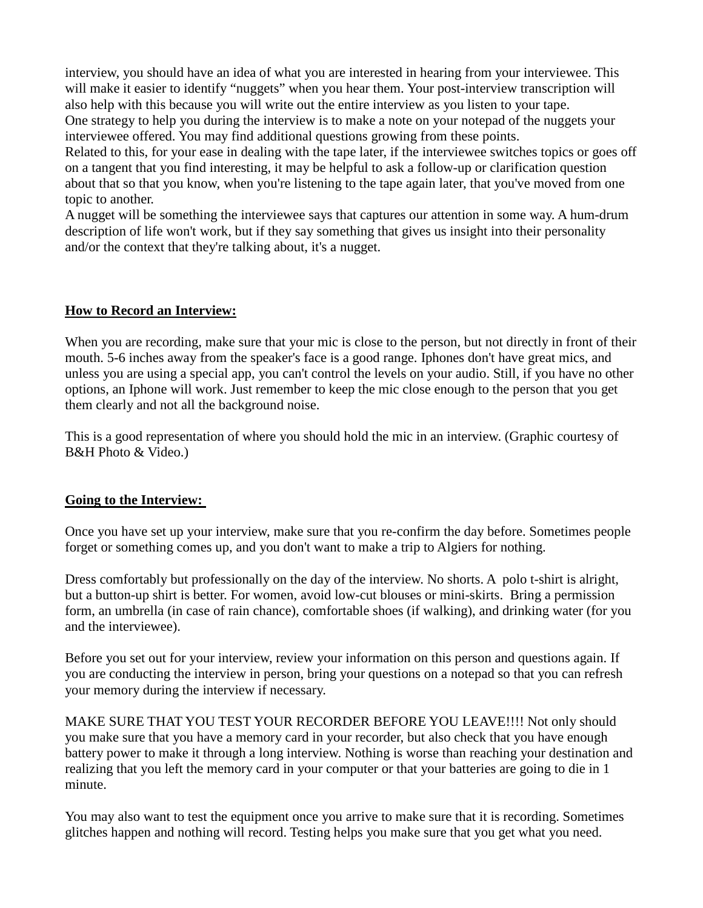interview, you should have an idea of what you are interested in hearing from your interviewee. This will make it easier to identify "nuggets" when you hear them. Your post-interview transcription will also help with this because you will write out the entire interview as you listen to your tape. One strategy to help you during the interview is to make a note on your notepad of the nuggets your interviewee offered. You may find additional questions growing from these points.

Related to this, for your ease in dealing with the tape later, if the interviewee switches topics or goes off on a tangent that you find interesting, it may be helpful to ask a follow-up or clarification question about that so that you know, when you're listening to the tape again later, that you've moved from one topic to another.

A nugget will be something the interviewee says that captures our attention in some way. A hum-drum description of life won't work, but if they say something that gives us insight into their personality and/or the context that they're talking about, it's a nugget.

### **How to Record an Interview:**

When you are recording, make sure that your mic is close to the person, but not directly in front of their mouth. 5-6 inches away from the speaker's face is a good range. Iphones don't have great mics, and unless you are using a special app, you can't control the levels on your audio. Still, if you have no other options, an Iphone will work. Just remember to keep the mic close enough to the person that you get them clearly and not all the background noise.

This is a good representation of where you should hold the mic in an interview. (Graphic courtesy of B&H Photo & Video.)

#### **Going to the Interview:**

Once you have set up your interview, make sure that you re-confirm the day before. Sometimes people forget or something comes up, and you don't want to make a trip to Algiers for nothing.

Dress comfortably but professionally on the day of the interview. No shorts. A polo t-shirt is alright, but a button-up shirt is better. For women, avoid low-cut blouses or mini-skirts. Bring a permission form, an umbrella (in case of rain chance), comfortable shoes (if walking), and drinking water (for you and the interviewee).

Before you set out for your interview, review your information on this person and questions again. If you are conducting the interview in person, bring your questions on a notepad so that you can refresh your memory during the interview if necessary.

MAKE SURE THAT YOU TEST YOUR RECORDER BEFORE YOU LEAVE!!!! Not only should you make sure that you have a memory card in your recorder, but also check that you have enough battery power to make it through a long interview. Nothing is worse than reaching your destination and realizing that you left the memory card in your computer or that your batteries are going to die in 1 minute.

You may also want to test the equipment once you arrive to make sure that it is recording. Sometimes glitches happen and nothing will record. Testing helps you make sure that you get what you need.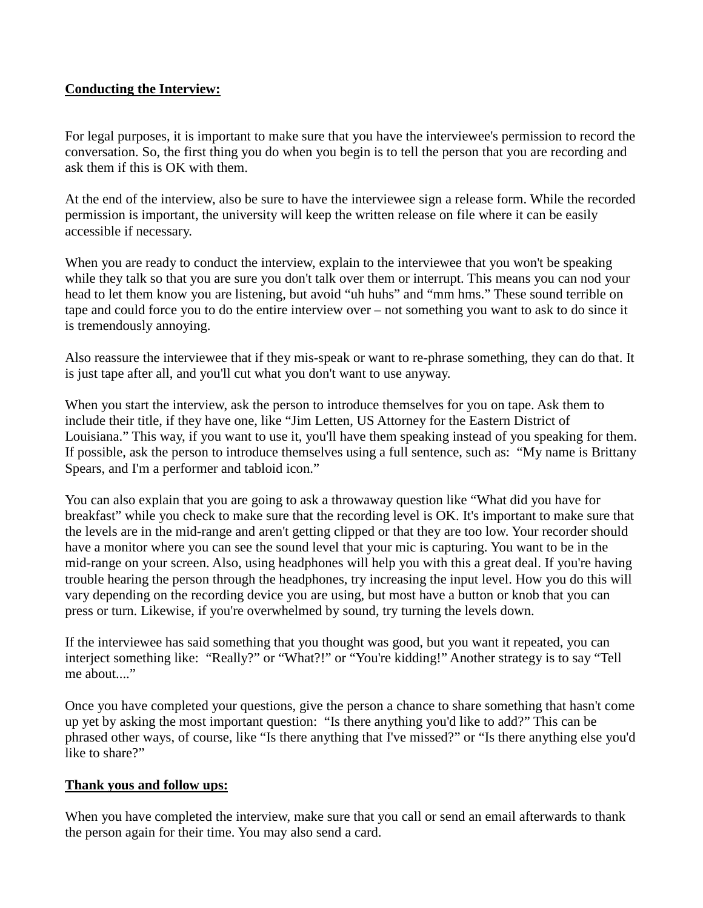# **Conducting the Interview:**

For legal purposes, it is important to make sure that you have the interviewee's permission to record the conversation. So, the first thing you do when you begin is to tell the person that you are recording and ask them if this is OK with them.

At the end of the interview, also be sure to have the interviewee sign a release form. While the recorded permission is important, the university will keep the written release on file where it can be easily accessible if necessary.

When you are ready to conduct the interview, explain to the interviewee that you won't be speaking while they talk so that you are sure you don't talk over them or interrupt. This means you can nod your head to let them know you are listening, but avoid "uh huhs" and "mm hms." These sound terrible on tape and could force you to do the entire interview over – not something you want to ask to do since it is tremendously annoying.

Also reassure the interviewee that if they mis-speak or want to re-phrase something, they can do that. It is just tape after all, and you'll cut what you don't want to use anyway.

When you start the interview, ask the person to introduce themselves for you on tape. Ask them to include their title, if they have one, like "Jim Letten, US Attorney for the Eastern District of Louisiana." This way, if you want to use it, you'll have them speaking instead of you speaking for them. If possible, ask the person to introduce themselves using a full sentence, such as: "My name is Brittany Spears, and I'm a performer and tabloid icon."

You can also explain that you are going to ask a throwaway question like "What did you have for breakfast" while you check to make sure that the recording level is OK. It's important to make sure that the levels are in the mid-range and aren't getting clipped or that they are too low. Your recorder should have a monitor where you can see the sound level that your mic is capturing. You want to be in the mid-range on your screen. Also, using headphones will help you with this a great deal. If you're having trouble hearing the person through the headphones, try increasing the input level. How you do this will vary depending on the recording device you are using, but most have a button or knob that you can press or turn. Likewise, if you're overwhelmed by sound, try turning the levels down.

If the interviewee has said something that you thought was good, but you want it repeated, you can interject something like: "Really?" or "What?!" or "You're kidding!" Another strategy is to say "Tell me about...."

Once you have completed your questions, give the person a chance to share something that hasn't come up yet by asking the most important question: "Is there anything you'd like to add?" This can be phrased other ways, of course, like "Is there anything that I've missed?" or "Is there anything else you'd like to share?"

# **Thank yous and follow ups:**

When you have completed the interview, make sure that you call or send an email afterwards to thank the person again for their time. You may also send a card.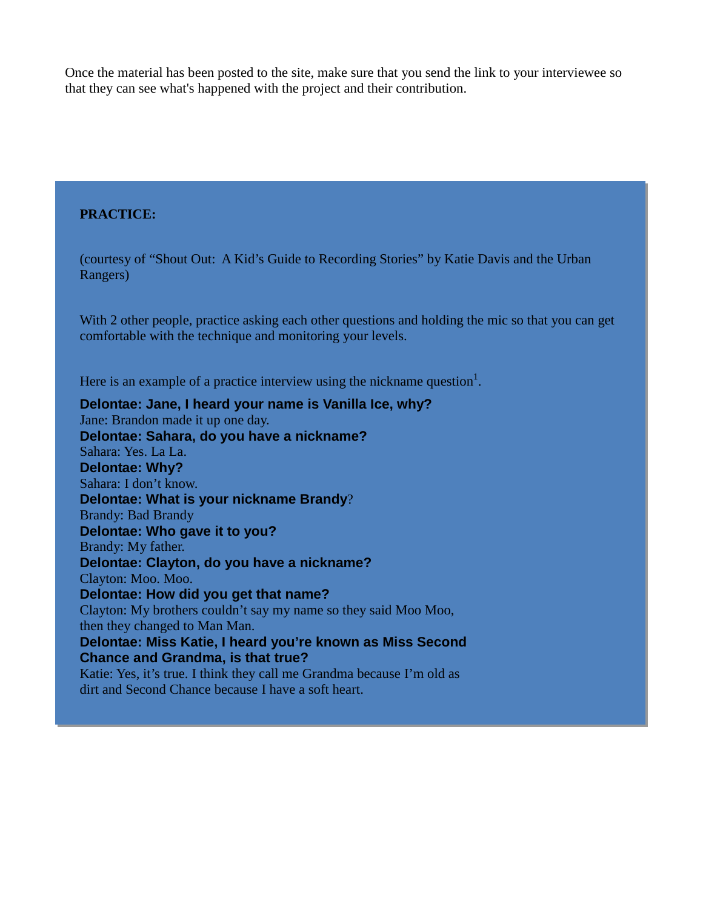Once the material has been posted to the site, make sure that you send the link to your interviewee so that they can see what's happened with the project and their contribution.

#### **PRACTICE:**

(courtesy of "Shout Out: A Kid's Guide to Recording Stories" by Katie Davis and the Urban Rangers)

With 2 other people, practice asking each other questions and holding the mic so that you can get comfortable with the technique and monitoring your levels.

Here is an example of a practice interview using the nickname question<sup>1</sup>.

**Delontae: Jane, I heard your name is Vanilla Ice, why?** Jane: Brandon made it up one day. **Delontae: Sahara, do you have a nickname?** Sahara: Yes. La La. **Delontae: Why?** Sahara: I don't know. **Delontae: What is your nickname Brandy**? Brandy: Bad Brandy **Delontae: Who gave it to you?** Brandy: My father. **Delontae: Clayton, do you have a nickname?** Clayton: Moo. Moo. **Delontae: How did you get that name?** Clayton: My brothers couldn't say my name so they said Moo Moo, then they changed to Man Man. **Delontae: Miss Katie, I heard you're known as Miss Second Chance and Grandma, is that true?** Katie: Yes, it's true. I think they call me Grandma because I'm old as dirt and Second Chance because I have a soft heart.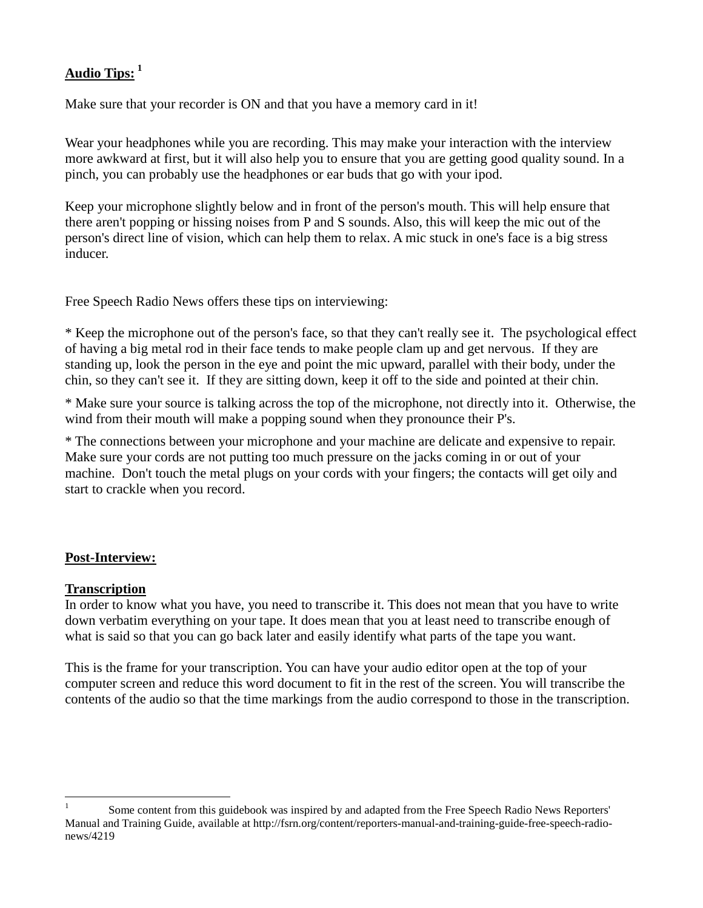# **Audio Tips: [1](#page-6-0)**

Make sure that your recorder is ON and that you have a memory card in it!

Wear your headphones while you are recording. This may make your interaction with the interview more awkward at first, but it will also help you to ensure that you are getting good quality sound. In a pinch, you can probably use the headphones or ear buds that go with your ipod.

Keep your microphone slightly below and in front of the person's mouth. This will help ensure that there aren't popping or hissing noises from P and S sounds. Also, this will keep the mic out of the person's direct line of vision, which can help them to relax. A mic stuck in one's face is a big stress inducer.

Free Speech Radio News offers these tips on interviewing:

\* Keep the microphone out of the person's face, so that they can't really see it. The psychological effect of having a big metal rod in their face tends to make people clam up and get nervous. If they are standing up, look the person in the eye and point the mic upward, parallel with their body, under the chin, so they can't see it. If they are sitting down, keep it off to the side and pointed at their chin.

\* Make sure your source is talking across the top of the microphone, not directly into it. Otherwise, the wind from their mouth will make a popping sound when they pronounce their P's.

\* The connections between your microphone and your machine are delicate and expensive to repair. Make sure your cords are not putting too much pressure on the jacks coming in or out of your machine. Don't touch the metal plugs on your cords with your fingers; the contacts will get oily and start to crackle when you record.

# **Post-Interview:**

#### **Transcription**

In order to know what you have, you need to transcribe it. This does not mean that you have to write down verbatim everything on your tape. It does mean that you at least need to transcribe enough of what is said so that you can go back later and easily identify what parts of the tape you want.

This is the frame for your transcription. You can have your audio editor open at the top of your computer screen and reduce this word document to fit in the rest of the screen. You will transcribe the contents of the audio so that the time markings from the audio correspond to those in the transcription.

<span id="page-6-0"></span> <sup>1</sup> Some content from this guidebook was inspired by and adapted from the Free Speech Radio News Reporters' Manual and Training Guide, available at http://fsrn.org/content/reporters-manual-and-training-guide-free-speech-radionews/4219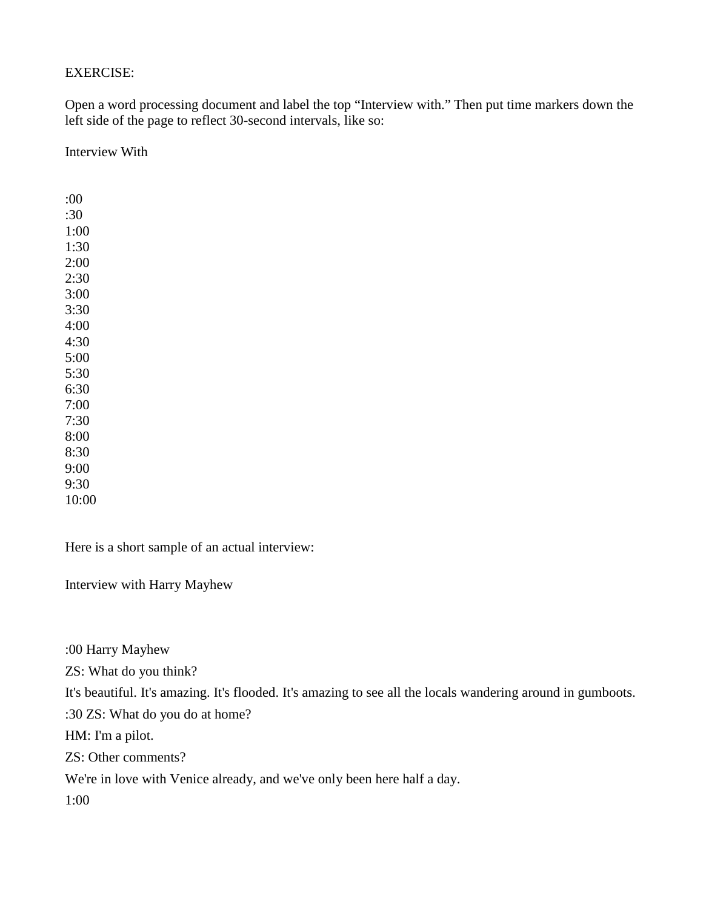### EXERCISE:

Open a word processing document and label the top "Interview with." Then put time markers down the left side of the page to reflect 30-second intervals, like so:

Interview With

:00 :30 1:00 1:30 2:00 2:30 3:00 3:30 4:00 4:30 5:00 5:30 6:30 7:00 7:30 8:00 8:30 9:00 9:30 10:00

Here is a short sample of an actual interview:

Interview with Harry Mayhew

:00 Harry Mayhew

ZS: What do you think?

It's beautiful. It's amazing. It's flooded. It's amazing to see all the locals wandering around in gumboots.

:30 ZS: What do you do at home?

HM: I'm a pilot.

ZS: Other comments?

We're in love with Venice already, and we've only been here half a day.

1:00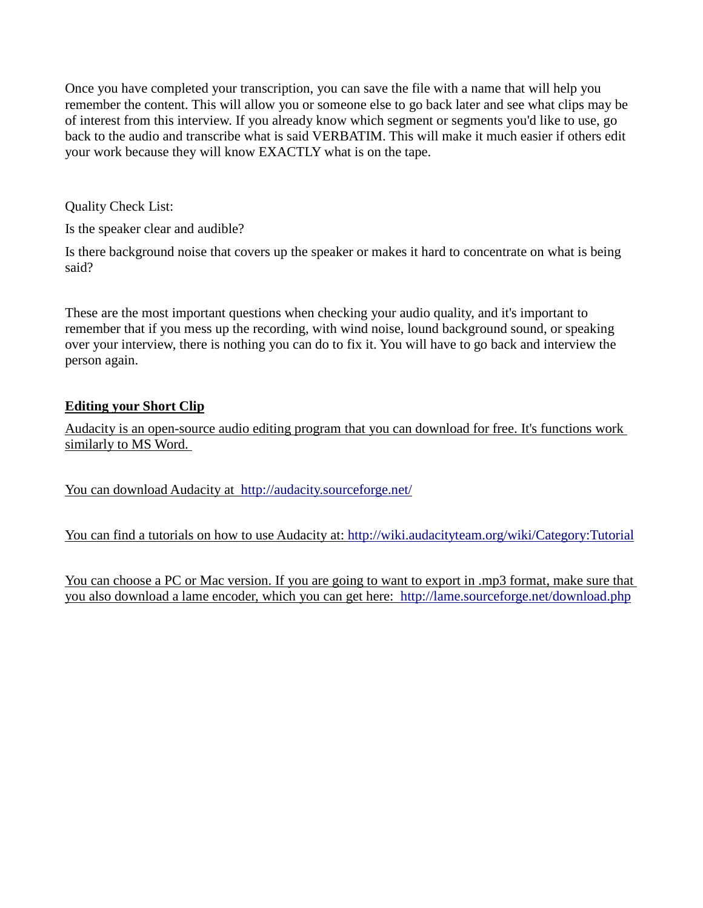Once you have completed your transcription, you can save the file with a name that will help you remember the content. This will allow you or someone else to go back later and see what clips may be of interest from this interview. If you already know which segment or segments you'd like to use, go back to the audio and transcribe what is said VERBATIM. This will make it much easier if others edit your work because they will know EXACTLY what is on the tape.

Quality Check List:

Is the speaker clear and audible?

Is there background noise that covers up the speaker or makes it hard to concentrate on what is being said?

These are the most important questions when checking your audio quality, and it's important to remember that if you mess up the recording, with wind noise, lound background sound, or speaking over your interview, there is nothing you can do to fix it. You will have to go back and interview the person again.

# **Editing your Short Clip**

Audacity is an open-source audio editing program that you can download for free. It's functions work similarly to MS Word.

You can download Audacity at <http://audacity.sourceforge.net/>

You can find a tutorials on how to use Audacity at:<http://wiki.audacityteam.org/wiki/Category:Tutorial>

You can choose a PC or Mac version. If you are going to want to export in .mp3 format, make sure that you also download a lame encoder, which you can get here: <http://lame.sourceforge.net/download.php>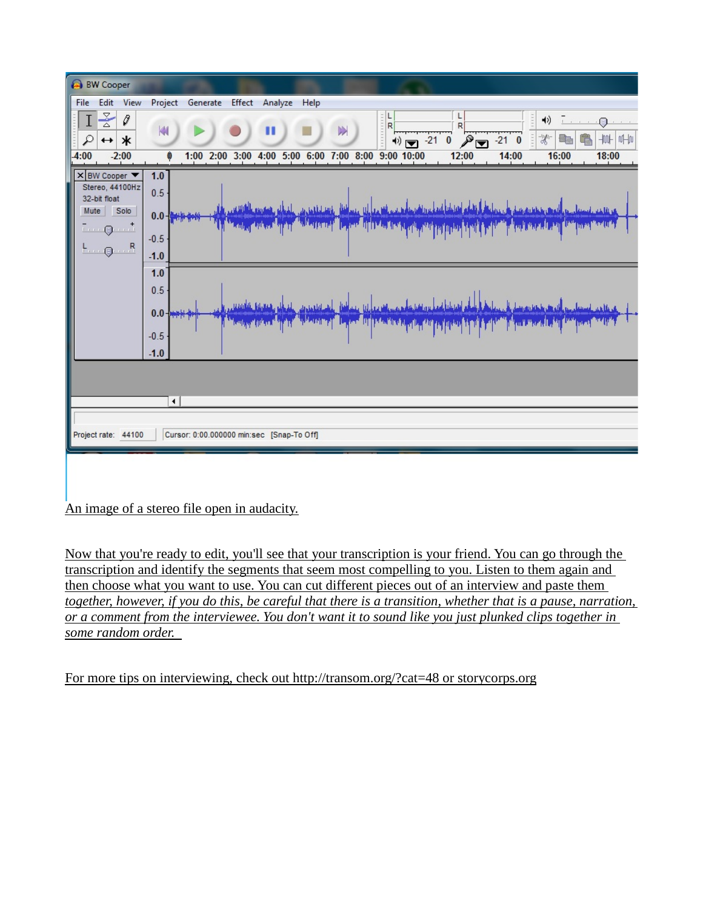

An image of a stereo file open in audacity.

Now that you're ready to edit, you'll see that your transcription is your friend. You can go through the transcription and identify the segments that seem most compelling to you. Listen to them again and then choose what you want to use. You can cut different pieces out of an interview and paste them *together, however, if you do this, be careful that there is a transition, whether that is a pause, narration, or a comment from the interviewee. You don't want it to sound like you just plunked clips together in some random order.* 

For more tips on interviewing, check out http://transom.org/?cat=48 or storycorps.org